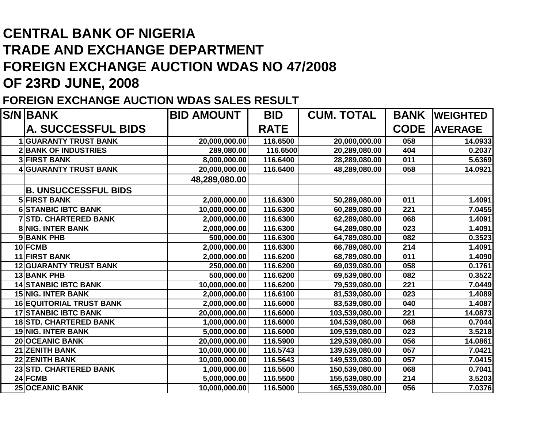## **CENTRAL BANK OF NIGERIA TRADE AND EXCHANGE DEPARTMENT FOREIGN EXCHANGE AUCTION WDAS NO 47/2008OF 23RD JUNE, 2008**

## **FOREIGN EXCHANGE AUCTION WDAS SALES RESULT**

| <b>S/N BANK</b>                 | <b>BID AMOUNT</b> | <b>CUM. TOTAL</b><br><b>BID</b> |                | <b>BANK</b> | <b>WEIGHTED</b> |
|---------------------------------|-------------------|---------------------------------|----------------|-------------|-----------------|
| <b>A. SUCCESSFUL BIDS</b>       |                   | <b>RATE</b>                     |                | <b>CODE</b> | <b>AVERAGE</b>  |
| <b>GUARANTY TRUST BANK</b>      | 20,000,000.00     | 116.6500                        | 20,000,000.00  | 058         | 14.0933         |
| <b>2BANK OF INDUSTRIES</b>      | 289,080.00        | 116.6500                        | 20,289,080.00  | 404         | 0.2037          |
| <b>3 FIRST BANK</b>             | 8,000,000.00      | 116.6400                        | 28,289,080.00  | 011         | 5.6369          |
| <b>4 GUARANTY TRUST BANK</b>    | 20,000,000.00     | 116.6400                        | 48,289,080.00  | 058         | 14.0921         |
|                                 | 48,289,080.00     |                                 |                |             |                 |
| <b>B. UNSUCCESSFUL BIDS</b>     |                   |                                 |                |             |                 |
| <b>5 FIRST BANK</b>             | 2,000,000.00      | 116.6300                        | 50,289,080.00  | 011         | 1.4091          |
| <b>6 STANBIC IBTC BANK</b>      | 10,000,000.00     | 116.6300                        | 60,289,080.00  | 221         | 7.0455          |
| <b>7 STD. CHARTERED BANK</b>    | 2,000,000.00      | 116.6300                        | 62,289,080.00  | 068         | 1.4091          |
| <b>8 NIG. INTER BANK</b>        | 2,000,000.00      | 116.6300                        | 64,289,080.00  | 023         | 1.4091          |
| 9BANK PHB                       | 500,000.00        | 116.6300                        | 64,789,080.00  | 082         | 0.3523          |
| 10 FCMB                         | 2,000,000.00      | 116.6300                        | 66,789,080.00  | 214         | 1.4091          |
| 11 FIRST BANK                   | 2,000,000.00      | 116.6200                        | 68,789,080.00  | 011         | 1.4090          |
| <b>12 GUARANTY TRUST BANK</b>   | 250,000.00        | 116.6200                        | 69,039,080.00  | 058         | 0.1761          |
| 13 BANK PHB                     | 500,000.00        | 116.6200                        | 69,539,080.00  | 082         | 0.3522          |
| <b>14 STANBIC IBTC BANK</b>     | 10,000,000.00     | 116.6200                        | 79,539,080.00  | 221         | 7.0449          |
| <b>15 NIG. INTER BANK</b>       | 2,000,000.00      | 116.6100                        | 81,539,080.00  | 023         | 1.4089          |
| <b>16 EQUITORIAL TRUST BANK</b> | 2,000,000.00      | 116.6000                        | 83,539,080.00  | 040         | 1.4087          |
| <b>17 STANBIC IBTC BANK</b>     | 20,000,000.00     | 116.6000                        | 103,539,080.00 | 221         | 14.0873         |
| <b>18 STD. CHARTERED BANK</b>   | 1,000,000.00      | 116.6000                        | 104,539,080.00 | 068         | 0.7044          |
| <b>19 NIG. INTER BANK</b>       | 5,000,000.00      | 116.6000                        | 109,539,080.00 | 023         | 3.5218          |
| <b>20 OCEANIC BANK</b>          | 20,000,000.00     | 116.5900                        | 129,539,080.00 | 056         | 14.0861         |
| <b>21 ZENITH BANK</b>           | 10,000,000.00     | 116.5743                        | 139,539,080.00 | 057         | 7.0421          |
| 22 ZENITH BANK                  | 10,000,000.00     | 116.5643                        | 149,539,080.00 | 057         | 7.0415          |
| 23 STD. CHARTERED BANK          | 1,000,000.00      | 116.5500                        | 150,539,080.00 | 068         | 0.7041          |
| 24 FCMB                         | 5,000,000.00      | 116.5500                        | 155,539,080.00 | 214         | 3.5203          |
| <b>25 OCEANIC BANK</b>          | 10,000,000.00     | 116.5000                        | 165,539,080.00 | 056         | 7.0376          |